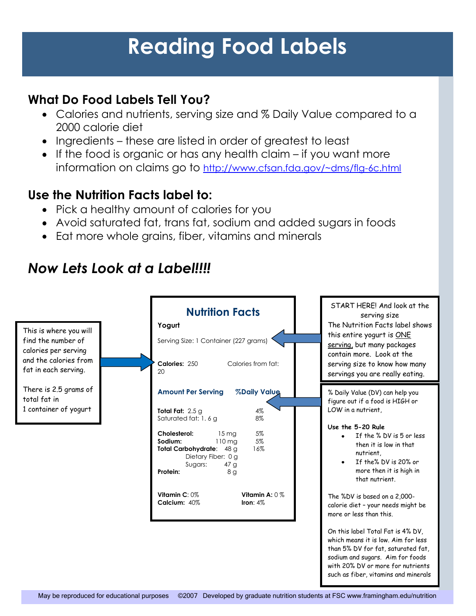# **Reading Food Labels**

#### **What Do Food Labels Tell You?**

- Calories and nutrients, serving size and % Daily Value compared to a 2000 calorie diet
- Ingredients these are listed in order of greatest to least
- $\bullet$  If the food is organic or has any health claim if you want more information on claims go to <http://www.cfsan.fda.gov/~dms/flg-6c.html>

#### **Use the Nutrition Facts label to:**

- Pick a healthy amount of calories for you
- Avoid saturated fat, trans fat, sodium and added sugars in foods
- Eat more whole grains, fiber, vitamins and minerals

## *Now Lets Look at a Label!!!!*

| This is where you will<br>find the number of<br>calories per serving<br>and the calories from<br>fat in each serving. | <b>Nutrition Facts</b><br>Yogurt<br>Serving Size: 1 Container (227 grams)<br>Calories: 250<br>Calories from fat:<br>20                                                                | START HERE! And look at the<br>serving size<br>The Nutrition Facts label shows<br>this entire yogurt is ONE<br>serving, but many packages<br>contain more. Look at the<br>serving size to know how many<br>servings you are really eating. |
|-----------------------------------------------------------------------------------------------------------------------|---------------------------------------------------------------------------------------------------------------------------------------------------------------------------------------|--------------------------------------------------------------------------------------------------------------------------------------------------------------------------------------------------------------------------------------------|
| There is 2.5 grams of<br>total fat in<br>1 container of yogurt                                                        | <b>Amount Per Serving</b><br><b>%Daily Value</b>                                                                                                                                      | % Daily Value (DV) can help you<br>figure out if a food is HIGH or                                                                                                                                                                         |
|                                                                                                                       | 4%<br>Total Fat: $2.5 g$<br>Saturated fat: 1, 6 g<br>8%                                                                                                                               | LOW in a nutrient,<br>Use the 5-20 Rule                                                                                                                                                                                                    |
|                                                                                                                       | Cholesterol:<br>5%<br>15 <sub>mg</sub><br>5%<br>Sodium:<br>$110 \text{ mg}$<br>Total Carbohydrate: 48 g<br>16%<br>Dietary Fiber: 0 g<br>Sugars:<br>47 <sub>g</sub><br>Protein:<br>8 g | If the % DV is 5 or less<br>then it is low in that<br>nutrient.<br>If the% DV is 20% or<br>more then it is high in<br>that nutrient.                                                                                                       |
|                                                                                                                       | Vitamin A: $0\%$<br>Vitamin $C: 0\%$<br>Calcium: 40%<br>Iron: $4\%$                                                                                                                   | The %DV is based on a 2,000-<br>calorie diet - your needs might be<br>more or less than this.                                                                                                                                              |
|                                                                                                                       |                                                                                                                                                                                       | On this label Total Fat is 4% DV,<br>which means it is low. Aim for less<br>than 5% DV for fat, saturated fat,<br>sodium and sugars. Aim for foods<br>with 20% DV or more for nutrients<br>such as fiber, vitamins and minerals            |